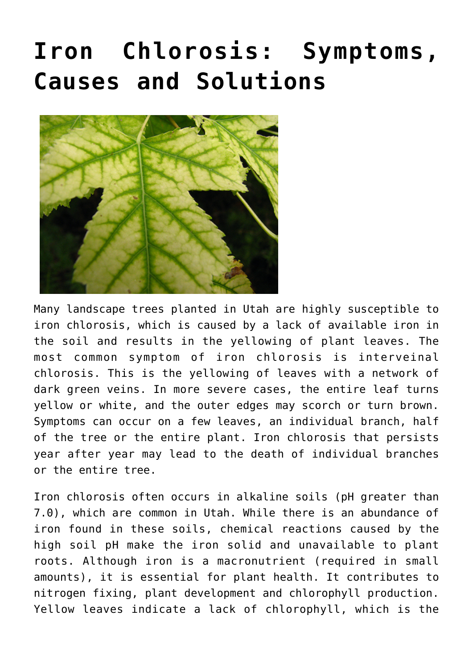## **[Iron Chlorosis: Symptoms,](https://livewellutah.org/2020/07/17/iron-chlorosis-symptoms-causes-and-solutions/) [Causes and Solutions](https://livewellutah.org/2020/07/17/iron-chlorosis-symptoms-causes-and-solutions/)**



Many landscape trees planted in Utah are highly susceptible to iron chlorosis, which is caused by a lack of available iron in the soil and results in the yellowing of plant leaves. The most common symptom of iron chlorosis is interveinal chlorosis. This is the yellowing of leaves with a network of dark green veins. In more severe cases, the entire leaf turns yellow or white, and the outer edges may scorch or turn brown. Symptoms can occur on a few leaves, an individual branch, half of the tree or the entire plant. Iron chlorosis that persists year after year may lead to the death of individual branches or the entire tree.

Iron chlorosis often occurs in alkaline soils (pH greater than 7.0), which are common in Utah. While there is an abundance of iron found in these soils, chemical reactions caused by the high soil pH make the iron solid and unavailable to plant roots. Although iron is a macronutrient (required in small amounts), it is essential for plant health. It contributes to nitrogen fixing, plant development and chlorophyll production. Yellow leaves indicate a lack of chlorophyll, which is the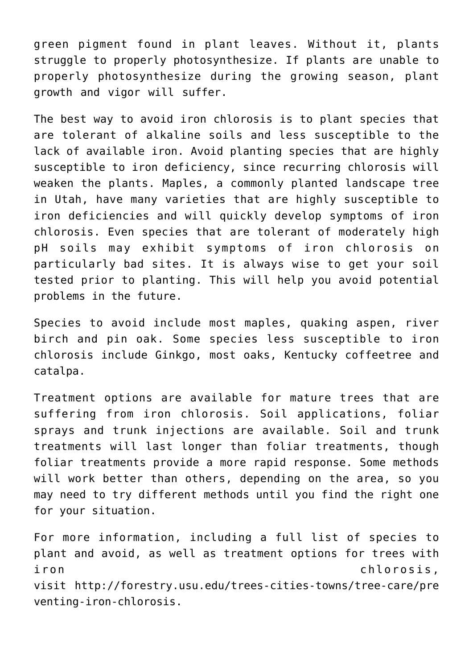green pigment found in plant leaves. Without it, plants struggle to properly photosynthesize. If plants are unable to properly photosynthesize during the growing season, plant growth and vigor will suffer.

The best way to avoid iron chlorosis is to plant species that are tolerant of alkaline soils and less susceptible to the lack of available iron. Avoid planting species that are highly susceptible to iron deficiency, since recurring chlorosis will weaken the plants. Maples, a commonly planted landscape tree in Utah, have many varieties that are highly susceptible to iron deficiencies and will quickly develop symptoms of iron chlorosis. Even species that are tolerant of moderately high pH soils may exhibit symptoms of iron chlorosis on particularly bad sites. It is always wise to get your soil tested prior to planting. This will help you avoid potential problems in the future.

Species to avoid include most maples, quaking aspen, river birch and pin oak. Some species less susceptible to iron chlorosis include Ginkgo, most oaks, Kentucky coffeetree and catalpa.

Treatment options are available for mature trees that are suffering from iron chlorosis. Soil applications, foliar sprays and trunk injections are available. Soil and trunk treatments will last longer than foliar treatments, though foliar treatments provide a more rapid response. Some methods will work better than others, depending on the area, so you may need to try different methods until you find the right one for your situation.

For more information, including a full list of species to plant and avoid, as well as treatment options for trees with iron chlorosis, visit [http://forestry.usu.edu/trees-cities-towns/tree-care/pre](http://forestry.usu.edu/trees-cities-towns/tree-care/preventing-iron-chlorosis) [venting-iron-chlorosis](http://forestry.usu.edu/trees-cities-towns/tree-care/preventing-iron-chlorosis).